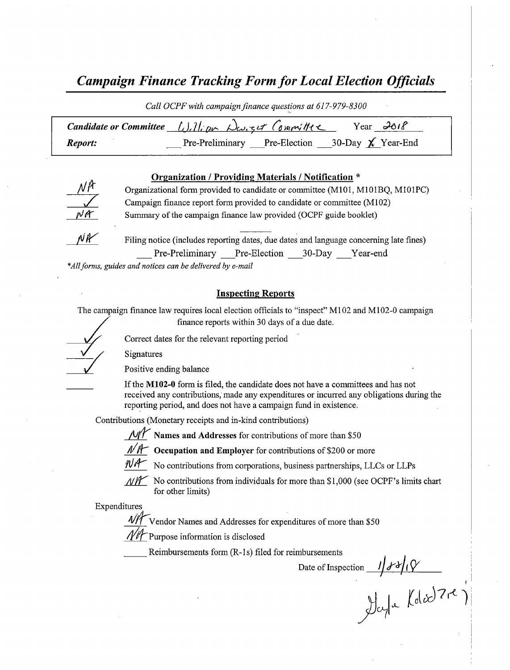# Campaign Finance Tracking Form for Local Election Officials

Call OCPF with campaign finance questions at 617-979-8300

| Candidate or Committee $\lfloor \int \rfloor$ , $\lfloor \ln \sqrt{2} \rfloor$ , $\lfloor \ln \sqrt{2} \rfloor$ $\lfloor \frac{d}{2} \rfloor$ $\lfloor \ln \sqrt{2} \rfloor$ |  | Year $\partial \theta$ if                           |
|------------------------------------------------------------------------------------------------------------------------------------------------------------------------------|--|-----------------------------------------------------|
| Report:                                                                                                                                                                      |  | Pre-Preliminary Pre-Election 30-Day $\chi$ Year-End |

#### Organization / Providing Materials / Notification \*



Organizational form provided to candidate or committee( M101, M101BQ, M101PC) Campaign finance report form provided to candidate or committee( M102) Summary of the campaign finance law provided (OCPF guide booklet)



Filing notice (includes reporting dates, due dates and language concerning late fines) Pre-Preliminary Pre-Election 30-Day Year-end

\*All forms, guides and notices can be delivered by e-mail

#### Inspecting Reports

The campaign finance law requires local election officials to "inspect" M102 and M102-0 campaign finance reports within 30 days of <sup>a</sup> due date.

Signatures

Positive ending balance

If the M102-0 form is filed, the candidate does not have a committees and has not received any contributions, made any expenditures or incurred any obligations during the reporting period, and does not have a campaign fund in existence.

Contributions( Monetary receipts and in-kind contributions)

Correct dates for the relevant reporting period



 $\mathcal{N}\mathcal{N}$  Occupation and Employer for contributions of \$200 or more



 $N/T$  No contributions from corporations, business partnerships, LLCs or LLPs

 $\mathcal{N}\mathcal{N}$  No contributions from individuals for more than \$1,000 (see OCPF's limits chart for other limits)

Expenditures

 $\frac{4}{100}$  Vendor Names and Addresses for expenditures of more than \$50

Purpose information is disclosed

Reimbursements form (R-1s) filed for reimbursements

Date of Inspection

 $\int \int \int \int \int \int \int \int \int \int \int \int \int \int \int \int \int \int$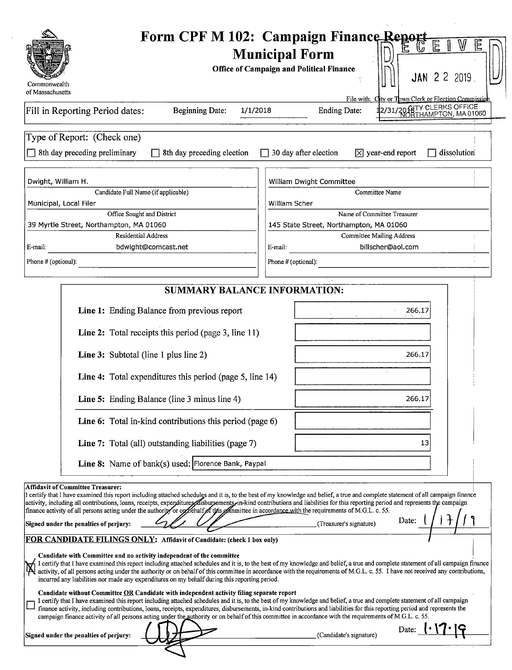| File with: City or Town Clerk or Election Commission<br>2/31/20 GITY CLERKS OFFICE<br><b>Beginning Date:</b><br>1/1/2018<br><b>Ending Date:</b><br>8th day preceding preliminary<br>30 day after election<br>$\boxtimes$ year-end report<br>8th day preceding election<br>dissolution<br>Dwight, William H.<br>William Dwight Committee<br>Candidate Full Name (if applicable)<br>Committee Name<br>Municipal, Local Filer<br><b>William Scher</b><br>Office Sought and District<br>Name of Committee Treasurer<br>39 Myrtle Street, Northampton, MA 01060<br>145 State Street, Northampton, MA 01060<br><b>Residential Address</b><br><b>Committee Mailing Address</b><br>E-mail:<br>bdwight@comcast.net<br>billscher@aol.com<br>E-mail:<br>Phone # (optional):<br>Phone # (optional):<br><b>SUMMARY BALANCE INFORMATION:</b><br>Line 1: Ending Balance from previous report<br>266.17<br>Line 2: Total receipts this period (page 3, line 11)<br>Line 3: Subtotal (line 1 plus line 2)<br>266.17<br>Line 4: Total expenditures this period (page 5, line 14)<br>Line 5: Ending Balance (line 3 minus line 4)<br>266.17<br>Line 6: Total in-kind contributions this period (page 6)<br>Line 7: Total (all) outstanding liabilities (page 7)<br>13<br>Line 8: Name of bank(s) used: Florence Bank, Paypal<br><b>Affidavit of Committee Treasurer:</b><br>I certify that I have examined this report including attached schedules and it is, to the best of my knowledge and belief, a true and complete statement of all campaign finance<br>activity, including all contributions, loans, receipts, expenditures disbursements in-kind contributions and liabilities for this reporting period and represents the campaign<br>finance activity of all persons acting under the authority or oppenant of this of minitiee in accordance with the requirements of M.G.L. c. 55.<br>Date:<br>Signed under the penalties of perjury:<br>(Treasurer's signature)<br>FOR CANDIDATE FILINGS ONLY: Affidavit of Candidate: (check 1 box only)<br>Candidate with Committee and no activity independent of the committee<br>I certify that I have examined this report including attached schedules and it is, to the best of my knowledge and belief, a true and complete statement of all campaign finance<br>activity, of all persons acting under the authority or on behalf of this committee in accordance with the requirements of M.G.L. c. 55. I have not received any contributions,<br>incurred any liabilities nor made any expenditures on my behalf during this reporting period.<br>Candidate without Committee OR Candidate with independent activity filing separate report<br>I certify that I have examined this report including attached schedules and it is, to the best of my knowledge and belief, a true and complete statement of all campaign<br>finance activity, including contributions, loans, receipts, expenditures, disbursements, in-kind contributions and liabilities for this reporting period and represents the<br>campaign finance activity of all persons acting under the authority or on behalf of this committee in accordance with the requirements of M.G.L. c. 55. | Commonwealth                    | Form CPF M 102: Campaign Finance Report<br>E<br><b>Municipal Form</b><br><b>Office of Campaign and Political Finance</b><br><b>JAN 2 2 2019</b> |
|-----------------------------------------------------------------------------------------------------------------------------------------------------------------------------------------------------------------------------------------------------------------------------------------------------------------------------------------------------------------------------------------------------------------------------------------------------------------------------------------------------------------------------------------------------------------------------------------------------------------------------------------------------------------------------------------------------------------------------------------------------------------------------------------------------------------------------------------------------------------------------------------------------------------------------------------------------------------------------------------------------------------------------------------------------------------------------------------------------------------------------------------------------------------------------------------------------------------------------------------------------------------------------------------------------------------------------------------------------------------------------------------------------------------------------------------------------------------------------------------------------------------------------------------------------------------------------------------------------------------------------------------------------------------------------------------------------------------------------------------------------------------------------------------------------------------------------------------------------------------------------------------------------------------------------------------------------------------------------------------------------------------------------------------------------------------------------------------------------------------------------------------------------------------------------------------------------------------------------------------------------------------------------------------------------------------------------------------------------------------------------------------------------------------------------------------------------------------------------------------------------------------------------------------------------------------------------------------------------------------------------------------------------------------------------------------------------------------------------------------------------------------------------------------------------------------------------------------------------------------------------------------------------------------------------------------------------------------------------------------------------------------------------------------------------------------------------------------------------------------------------------------------------------------------------------------------------------|---------------------------------|-------------------------------------------------------------------------------------------------------------------------------------------------|
|                                                                                                                                                                                                                                                                                                                                                                                                                                                                                                                                                                                                                                                                                                                                                                                                                                                                                                                                                                                                                                                                                                                                                                                                                                                                                                                                                                                                                                                                                                                                                                                                                                                                                                                                                                                                                                                                                                                                                                                                                                                                                                                                                                                                                                                                                                                                                                                                                                                                                                                                                                                                                                                                                                                                                                                                                                                                                                                                                                                                                                                                                                                                                                                                           | of Massachusetts                |                                                                                                                                                 |
|                                                                                                                                                                                                                                                                                                                                                                                                                                                                                                                                                                                                                                                                                                                                                                                                                                                                                                                                                                                                                                                                                                                                                                                                                                                                                                                                                                                                                                                                                                                                                                                                                                                                                                                                                                                                                                                                                                                                                                                                                                                                                                                                                                                                                                                                                                                                                                                                                                                                                                                                                                                                                                                                                                                                                                                                                                                                                                                                                                                                                                                                                                                                                                                                           | Fill in Reporting Period dates: |                                                                                                                                                 |
|                                                                                                                                                                                                                                                                                                                                                                                                                                                                                                                                                                                                                                                                                                                                                                                                                                                                                                                                                                                                                                                                                                                                                                                                                                                                                                                                                                                                                                                                                                                                                                                                                                                                                                                                                                                                                                                                                                                                                                                                                                                                                                                                                                                                                                                                                                                                                                                                                                                                                                                                                                                                                                                                                                                                                                                                                                                                                                                                                                                                                                                                                                                                                                                                           | Type of Report: (Check one)     |                                                                                                                                                 |
|                                                                                                                                                                                                                                                                                                                                                                                                                                                                                                                                                                                                                                                                                                                                                                                                                                                                                                                                                                                                                                                                                                                                                                                                                                                                                                                                                                                                                                                                                                                                                                                                                                                                                                                                                                                                                                                                                                                                                                                                                                                                                                                                                                                                                                                                                                                                                                                                                                                                                                                                                                                                                                                                                                                                                                                                                                                                                                                                                                                                                                                                                                                                                                                                           |                                 |                                                                                                                                                 |
|                                                                                                                                                                                                                                                                                                                                                                                                                                                                                                                                                                                                                                                                                                                                                                                                                                                                                                                                                                                                                                                                                                                                                                                                                                                                                                                                                                                                                                                                                                                                                                                                                                                                                                                                                                                                                                                                                                                                                                                                                                                                                                                                                                                                                                                                                                                                                                                                                                                                                                                                                                                                                                                                                                                                                                                                                                                                                                                                                                                                                                                                                                                                                                                                           |                                 |                                                                                                                                                 |
|                                                                                                                                                                                                                                                                                                                                                                                                                                                                                                                                                                                                                                                                                                                                                                                                                                                                                                                                                                                                                                                                                                                                                                                                                                                                                                                                                                                                                                                                                                                                                                                                                                                                                                                                                                                                                                                                                                                                                                                                                                                                                                                                                                                                                                                                                                                                                                                                                                                                                                                                                                                                                                                                                                                                                                                                                                                                                                                                                                                                                                                                                                                                                                                                           |                                 |                                                                                                                                                 |
|                                                                                                                                                                                                                                                                                                                                                                                                                                                                                                                                                                                                                                                                                                                                                                                                                                                                                                                                                                                                                                                                                                                                                                                                                                                                                                                                                                                                                                                                                                                                                                                                                                                                                                                                                                                                                                                                                                                                                                                                                                                                                                                                                                                                                                                                                                                                                                                                                                                                                                                                                                                                                                                                                                                                                                                                                                                                                                                                                                                                                                                                                                                                                                                                           |                                 |                                                                                                                                                 |
|                                                                                                                                                                                                                                                                                                                                                                                                                                                                                                                                                                                                                                                                                                                                                                                                                                                                                                                                                                                                                                                                                                                                                                                                                                                                                                                                                                                                                                                                                                                                                                                                                                                                                                                                                                                                                                                                                                                                                                                                                                                                                                                                                                                                                                                                                                                                                                                                                                                                                                                                                                                                                                                                                                                                                                                                                                                                                                                                                                                                                                                                                                                                                                                                           |                                 |                                                                                                                                                 |
|                                                                                                                                                                                                                                                                                                                                                                                                                                                                                                                                                                                                                                                                                                                                                                                                                                                                                                                                                                                                                                                                                                                                                                                                                                                                                                                                                                                                                                                                                                                                                                                                                                                                                                                                                                                                                                                                                                                                                                                                                                                                                                                                                                                                                                                                                                                                                                                                                                                                                                                                                                                                                                                                                                                                                                                                                                                                                                                                                                                                                                                                                                                                                                                                           |                                 |                                                                                                                                                 |
|                                                                                                                                                                                                                                                                                                                                                                                                                                                                                                                                                                                                                                                                                                                                                                                                                                                                                                                                                                                                                                                                                                                                                                                                                                                                                                                                                                                                                                                                                                                                                                                                                                                                                                                                                                                                                                                                                                                                                                                                                                                                                                                                                                                                                                                                                                                                                                                                                                                                                                                                                                                                                                                                                                                                                                                                                                                                                                                                                                                                                                                                                                                                                                                                           |                                 |                                                                                                                                                 |
|                                                                                                                                                                                                                                                                                                                                                                                                                                                                                                                                                                                                                                                                                                                                                                                                                                                                                                                                                                                                                                                                                                                                                                                                                                                                                                                                                                                                                                                                                                                                                                                                                                                                                                                                                                                                                                                                                                                                                                                                                                                                                                                                                                                                                                                                                                                                                                                                                                                                                                                                                                                                                                                                                                                                                                                                                                                                                                                                                                                                                                                                                                                                                                                                           |                                 |                                                                                                                                                 |
|                                                                                                                                                                                                                                                                                                                                                                                                                                                                                                                                                                                                                                                                                                                                                                                                                                                                                                                                                                                                                                                                                                                                                                                                                                                                                                                                                                                                                                                                                                                                                                                                                                                                                                                                                                                                                                                                                                                                                                                                                                                                                                                                                                                                                                                                                                                                                                                                                                                                                                                                                                                                                                                                                                                                                                                                                                                                                                                                                                                                                                                                                                                                                                                                           |                                 |                                                                                                                                                 |
|                                                                                                                                                                                                                                                                                                                                                                                                                                                                                                                                                                                                                                                                                                                                                                                                                                                                                                                                                                                                                                                                                                                                                                                                                                                                                                                                                                                                                                                                                                                                                                                                                                                                                                                                                                                                                                                                                                                                                                                                                                                                                                                                                                                                                                                                                                                                                                                                                                                                                                                                                                                                                                                                                                                                                                                                                                                                                                                                                                                                                                                                                                                                                                                                           |                                 |                                                                                                                                                 |
| Signed under the penalties of perjury:<br>(Candidate's signature)                                                                                                                                                                                                                                                                                                                                                                                                                                                                                                                                                                                                                                                                                                                                                                                                                                                                                                                                                                                                                                                                                                                                                                                                                                                                                                                                                                                                                                                                                                                                                                                                                                                                                                                                                                                                                                                                                                                                                                                                                                                                                                                                                                                                                                                                                                                                                                                                                                                                                                                                                                                                                                                                                                                                                                                                                                                                                                                                                                                                                                                                                                                                         |                                 |                                                                                                                                                 |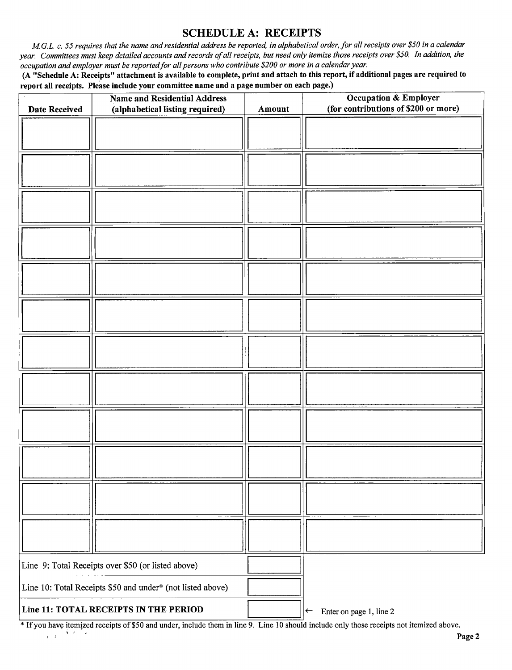## SCHEDULE A: RECEIPTS

M.G.L. c. 55 requires that the name and residential address be reported, in alphabetical order, for all receipts over \$50 in a calendar year. Committees must keep detailed accounts and records of all receipts, but need only itemize those receipts over \$50. In addition, the occupation and employer must be reported for all persons who contribute \$200 or more in a calendar year.

A" Schedule A: Receipts" attachment is available to complete, print and attach to this report, if additional pages are required to report all receipts. Please include your committee name and a page number on each page.)

| <b>Date Received</b>                                       | <b>Name and Residential Address</b><br>(alphabetical listing required) | Amount                                  | Occupation & Employer<br>(for contributions of \$200 or more) |
|------------------------------------------------------------|------------------------------------------------------------------------|-----------------------------------------|---------------------------------------------------------------|
|                                                            |                                                                        |                                         |                                                               |
|                                                            |                                                                        |                                         |                                                               |
|                                                            |                                                                        |                                         |                                                               |
|                                                            |                                                                        |                                         |                                                               |
|                                                            |                                                                        |                                         |                                                               |
|                                                            |                                                                        |                                         |                                                               |
|                                                            |                                                                        |                                         |                                                               |
|                                                            |                                                                        |                                         |                                                               |
|                                                            |                                                                        |                                         |                                                               |
|                                                            |                                                                        |                                         |                                                               |
|                                                            |                                                                        |                                         |                                                               |
|                                                            |                                                                        |                                         |                                                               |
|                                                            |                                                                        |                                         |                                                               |
|                                                            |                                                                        |                                         |                                                               |
|                                                            |                                                                        |                                         |                                                               |
| Line 9: Total Receipts over \$50 (or listed above)         |                                                                        |                                         |                                                               |
| Line 10: Total Receipts \$50 and under* (not listed above) |                                                                        |                                         |                                                               |
| Line 11: TOTAL RECEIPTS IN THE PERIOD                      |                                                                        | Enter on page 1, line 2<br>$\leftarrow$ |                                                               |

<sup>\*</sup> If you have itemized receipts of \$50 and under, include them in line 9. Line 10 should include only those receipts not itemized above.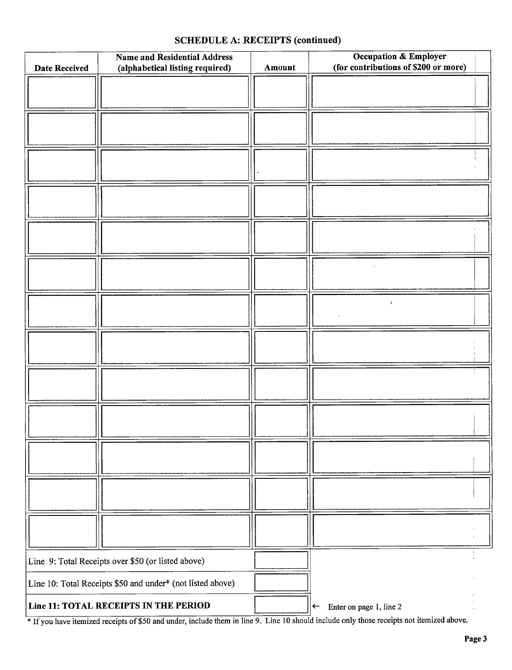### SCHEDULE A: RECEIPTS (continued)

| <b>Date Received</b>                                       | <b>Name and Residential Address</b><br>(alphabetical listing required) | Amount | Occupation & Employer<br>(for contributions of \$200 or more) |
|------------------------------------------------------------|------------------------------------------------------------------------|--------|---------------------------------------------------------------|
|                                                            |                                                                        |        |                                                               |
|                                                            |                                                                        |        |                                                               |
|                                                            |                                                                        |        |                                                               |
|                                                            |                                                                        |        |                                                               |
|                                                            |                                                                        |        |                                                               |
|                                                            |                                                                        |        |                                                               |
|                                                            |                                                                        |        |                                                               |
|                                                            |                                                                        |        |                                                               |
|                                                            |                                                                        |        | $\Lambda$                                                     |
|                                                            |                                                                        |        |                                                               |
|                                                            |                                                                        |        |                                                               |
|                                                            |                                                                        |        |                                                               |
|                                                            |                                                                        |        |                                                               |
|                                                            |                                                                        |        |                                                               |
|                                                            |                                                                        |        |                                                               |
| Line 9: Total Receipts over \$50 (or listed above)         |                                                                        |        |                                                               |
| Line 10: Total Receipts \$50 and under* (not listed above) |                                                                        |        |                                                               |
| Line 11: TOTAL RECEIPTS IN THE PERIOD                      |                                                                        |        | Enter on page 1, line 2<br>$\leftarrow$                       |

If you have itemized receipts of \$50 and under, include them in line 9. Line 10 should include only those receipts not itemized above.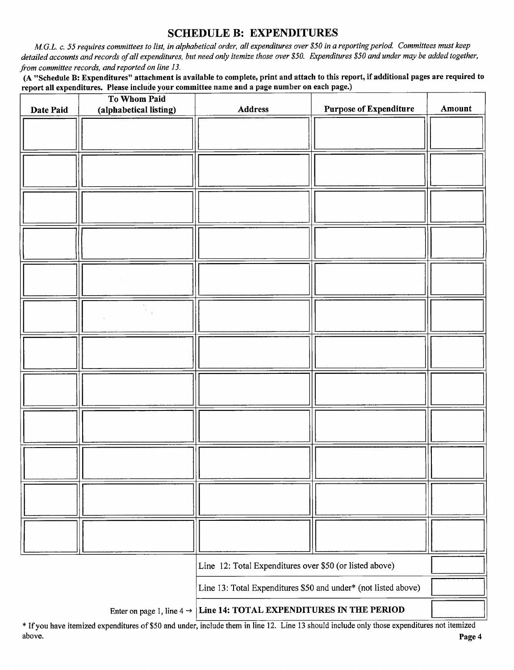### SCHEDULE B: EXPENDITURES

M.G.L. c. 55 requires committees to list, in alphabetical order, all expenditures over \$50 in a reporting period. Committees must keep detailed accounts and records of all expenditures, but need only itemize those over \$50. Expenditures \$50 and under may be added together, from committee records, and reported on line 13.

A" Schedule B: Expenditures" attachment is available to complete, print and attach to this report, if additional pages are required to report all expenditures. Please include your committee name and a page number on each page.)

| Date Paid | To Whom Paid<br>(alphabetical listing) | Address                                                        | <b>Purpose of Expenditure</b> | Amount |
|-----------|----------------------------------------|----------------------------------------------------------------|-------------------------------|--------|
|           |                                        |                                                                |                               |        |
|           |                                        |                                                                |                               |        |
|           |                                        |                                                                |                               |        |
|           |                                        |                                                                |                               |        |
|           |                                        |                                                                |                               |        |
|           |                                        |                                                                |                               |        |
|           |                                        |                                                                |                               |        |
|           |                                        |                                                                |                               |        |
|           |                                        |                                                                |                               |        |
|           |                                        |                                                                |                               |        |
|           |                                        |                                                                |                               |        |
|           |                                        |                                                                |                               |        |
|           |                                        |                                                                |                               |        |
|           |                                        | Line 12: Total Expenditures over \$50 (or listed above)        |                               |        |
|           |                                        | Line 13: Total Expenditures \$50 and under* (not listed above) |                               |        |

Enter on page 1, line  $4 \rightarrow$  Line 14: TOTAL EXPENDITURES IN THE PERIOD

Ifyou have itemized expenditures of\$50 and under, include them in line 12. Line <sup>13</sup> should include only those expenditures not itemized above. **Page 4** and the set of the set of the set of the set of the set of the set of the set of the set of the set of the set of the set of the set of the set of the set of the set of the set of the set of the set of the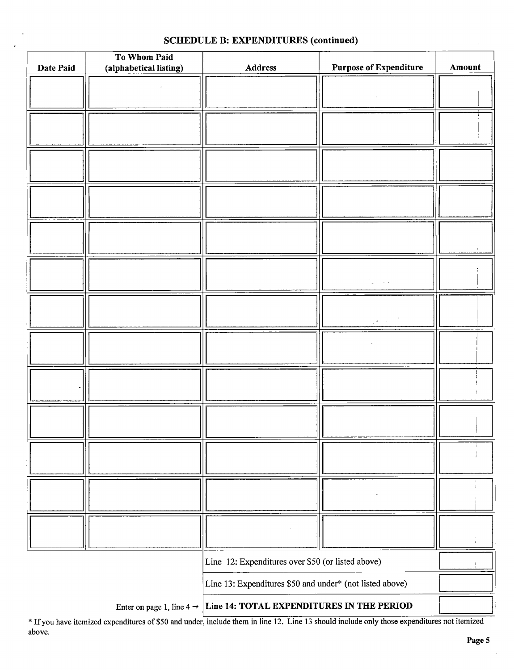| Date Paid                                         | To Whom Paid<br>(alphabetical listing) | Address                                                                         | <b>Purpose of Expenditure</b> | Amount |
|---------------------------------------------------|----------------------------------------|---------------------------------------------------------------------------------|-------------------------------|--------|
|                                                   |                                        |                                                                                 |                               |        |
|                                                   |                                        |                                                                                 |                               |        |
|                                                   |                                        |                                                                                 |                               |        |
|                                                   |                                        |                                                                                 |                               |        |
|                                                   |                                        |                                                                                 |                               |        |
|                                                   |                                        |                                                                                 |                               |        |
|                                                   |                                        |                                                                                 |                               |        |
|                                                   |                                        |                                                                                 |                               |        |
|                                                   |                                        |                                                                                 |                               |        |
|                                                   |                                        |                                                                                 |                               |        |
|                                                   |                                        |                                                                                 |                               |        |
|                                                   |                                        |                                                                                 |                               |        |
|                                                   |                                        |                                                                                 |                               |        |
|                                                   |                                        |                                                                                 |                               |        |
|                                                   |                                        |                                                                                 |                               |        |
|                                                   |                                        |                                                                                 |                               |        |
|                                                   |                                        |                                                                                 |                               |        |
|                                                   |                                        |                                                                                 |                               |        |
|                                                   |                                        |                                                                                 |                               |        |
|                                                   |                                        |                                                                                 |                               |        |
|                                                   |                                        |                                                                                 |                               |        |
|                                                   |                                        |                                                                                 |                               |        |
|                                                   |                                        |                                                                                 |                               |        |
|                                                   |                                        |                                                                                 |                               |        |
|                                                   |                                        |                                                                                 |                               |        |
|                                                   |                                        |                                                                                 |                               |        |
|                                                   |                                        |                                                                                 |                               |        |
|                                                   |                                        |                                                                                 |                               |        |
|                                                   |                                        |                                                                                 |                               |        |
|                                                   |                                        |                                                                                 |                               |        |
|                                                   |                                        |                                                                                 |                               |        |
|                                                   |                                        |                                                                                 |                               |        |
|                                                   |                                        |                                                                                 |                               |        |
|                                                   |                                        |                                                                                 |                               |        |
|                                                   |                                        |                                                                                 |                               |        |
| Line 12: Expenditures over \$50 (or listed above) |                                        |                                                                                 |                               |        |
|                                                   |                                        | Line 13: Expenditures \$50 and under* (not listed above)                        |                               |        |
|                                                   |                                        | Enter on page 1, line $4 \rightarrow$ Line 14: TOTAL EXPENDITURES IN THE PERIOD |                               |        |

### SCHEDULE B: EXPENDITURES (continued)

If you have itemized expenditures of\$50 and under, include them in line 12. Line <sup>13</sup> should include only those expenditures not itemized above.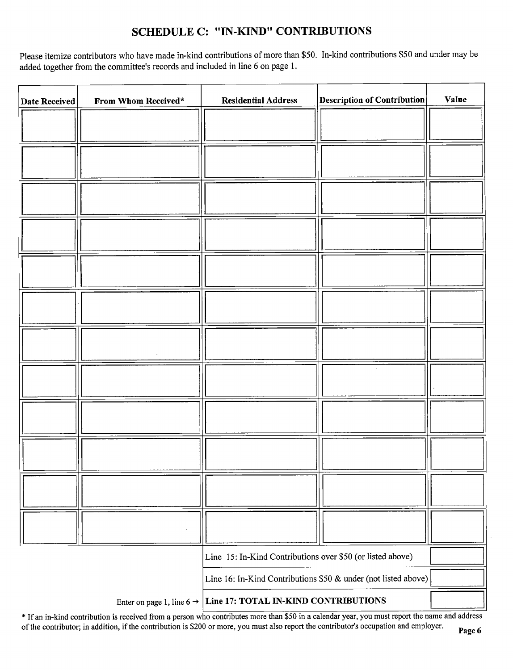# SCHEDULE C: " IN-KIND" CONTRIBUTIONS

Please itemize contributors who have made in-kind contributions of more than \$50. In-kind contributions \$50 and under may be added together from the committee's records and included in line 6 on page 1.

| <b>Date Received</b>                                                       | From Whom Received* | <b>Residential Address</b>                                 | $\vert$ Description of Contribution $\vert$ | <b>Value</b> |
|----------------------------------------------------------------------------|---------------------|------------------------------------------------------------|---------------------------------------------|--------------|
|                                                                            |                     |                                                            |                                             |              |
|                                                                            |                     |                                                            |                                             |              |
|                                                                            |                     |                                                            |                                             |              |
|                                                                            |                     |                                                            |                                             |              |
|                                                                            |                     |                                                            |                                             |              |
|                                                                            |                     |                                                            |                                             |              |
|                                                                            |                     |                                                            |                                             |              |
|                                                                            |                     |                                                            |                                             |              |
|                                                                            |                     |                                                            |                                             |              |
|                                                                            |                     |                                                            |                                             |              |
|                                                                            |                     |                                                            |                                             |              |
|                                                                            |                     |                                                            |                                             |              |
|                                                                            |                     |                                                            |                                             |              |
|                                                                            |                     |                                                            |                                             |              |
|                                                                            |                     |                                                            |                                             |              |
|                                                                            |                     |                                                            |                                             |              |
|                                                                            |                     |                                                            |                                             |              |
|                                                                            |                     |                                                            |                                             |              |
|                                                                            |                     |                                                            |                                             |              |
|                                                                            |                     |                                                            |                                             |              |
|                                                                            |                     | Line 15: In-Kind Contributions over \$50 (or listed above) |                                             |              |
| Line 16: In-Kind Contributions \$50 & under (not listed above)             |                     |                                                            |                                             |              |
| Enter on page 1, line $6 \rightarrow$ Line 17: TOTAL IN-KIND CONTRIBUTIONS |                     |                                                            |                                             |              |

\* If an in-kind contribution is received from a person who contributes more than \$50 in a calendar year, you must report the name and address of the contributor; in addition, if the contribution is \$200 or more, you must also report the contributor's occupation and employer.